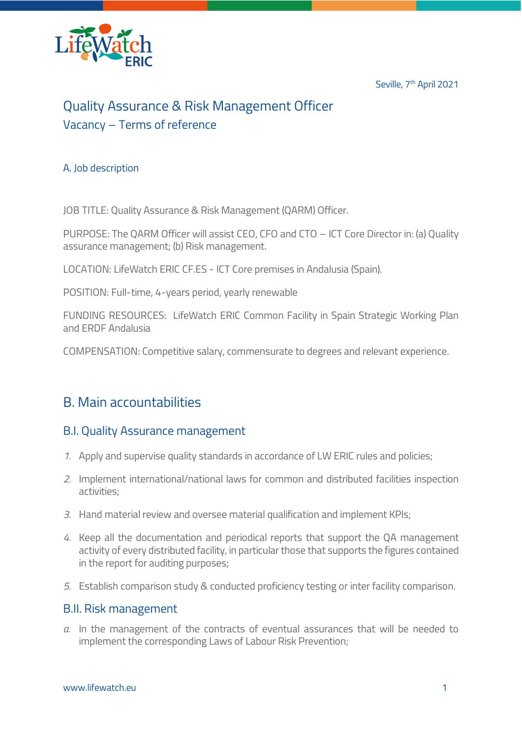Seville, 7<sup>th</sup> April 2021



# Quality Assurance & Risk Management Officer Vacancy – Terms of reference

#### A. Job description

JOB TITLE: Quality Assurance & Risk Management (QARM) Officer.

PURPOSE: The QARM Officer will assist CEO, CFO and CTO – ICT Core Director in: (a) Quality assurance management; (b) Risk management.

LOCATION: LifeWatch ERIC CF.ES - ICT Core premises in Andalusia (Spain).

POSITION: Full-time, 4-years period, yearly renewable

FUNDING RESOURCES: LifeWatch ERIC Common Facility in Spain Strategic Working Plan and ERDF Andalusia

COMPENSATION: Competitive salary, commensurate to degrees and relevant experience.

### B. Main accountabilities

#### B.I. Quality Assurance management

- *1.* Apply and supervise quality standards in accordance of LW ERIC rules and policies;
- *2.* Implement international/national laws for common and distributed facilities inspection activities;
- *3.* Hand material review and oversee material qualification and implement KPIs;
- *4.* Keep all the documentation and periodical reports that support the QA management activity of every distributed facility, in particular those that supports the figures contained in the report for auditing purposes;
- *5.* Establish comparison study & conducted proficiency testing or inter facility comparison.

#### B.II. Risk management

*a.* In the management of the contracts of eventual assurances that will be needed to implement the corresponding Laws of Labour Risk Prevention;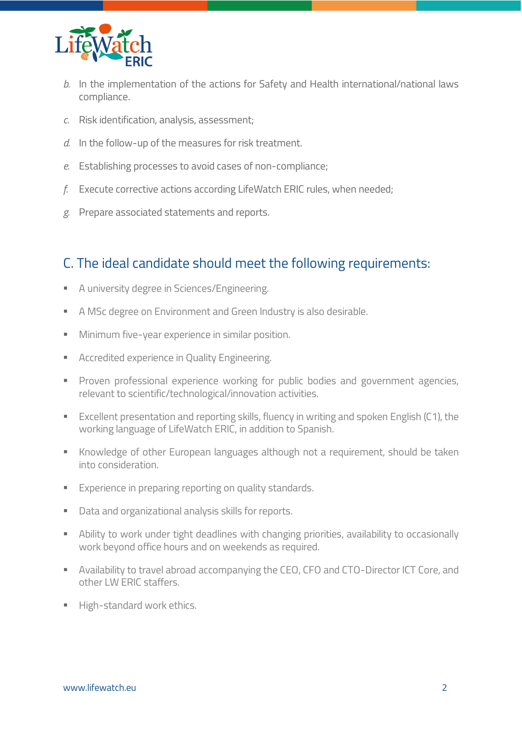

- *b.* In the implementation of the actions for Safety and Health international/national laws compliance.
- *c.* Risk identification, analysis, assessment;
- *d.* In the follow-up of the measures for risk treatment.
- *e.* Establishing processes to avoid cases of non-compliance;
- *f.* Execute corrective actions according LifeWatch ERIC rules, when needed;
- *g.* Prepare associated statements and reports.

### C. The ideal candidate should meet the following requirements:

- A university degree in Sciences/Engineering.
- A MSc degree on Environment and Green Industry is also desirable.
- **■** Minimum five-year experience in similar position.
- Accredited experience in Quality Engineering.
- Proven professional experience working for public bodies and government agencies, relevant to scientific/technological/innovation activities.
- Excellent presentation and reporting skills, fluency in writing and spoken English (C1), the working language of LifeWatch ERIC, in addition to Spanish.
- Knowledge of other European languages although not a requirement, should be taken into consideration.
- **Experience in preparing reporting on quality standards.**
- Data and organizational analysis skills for reports.
- **E** Ability to work under tight deadlines with changing priorities, availability to occasionally work beyond office hours and on weekends as required.
- **EXP** Availability to travel abroad accompanying the CEO, CFO and CTO-Director ICT Core, and other LW ERIC staffers.
- High-standard work ethics.